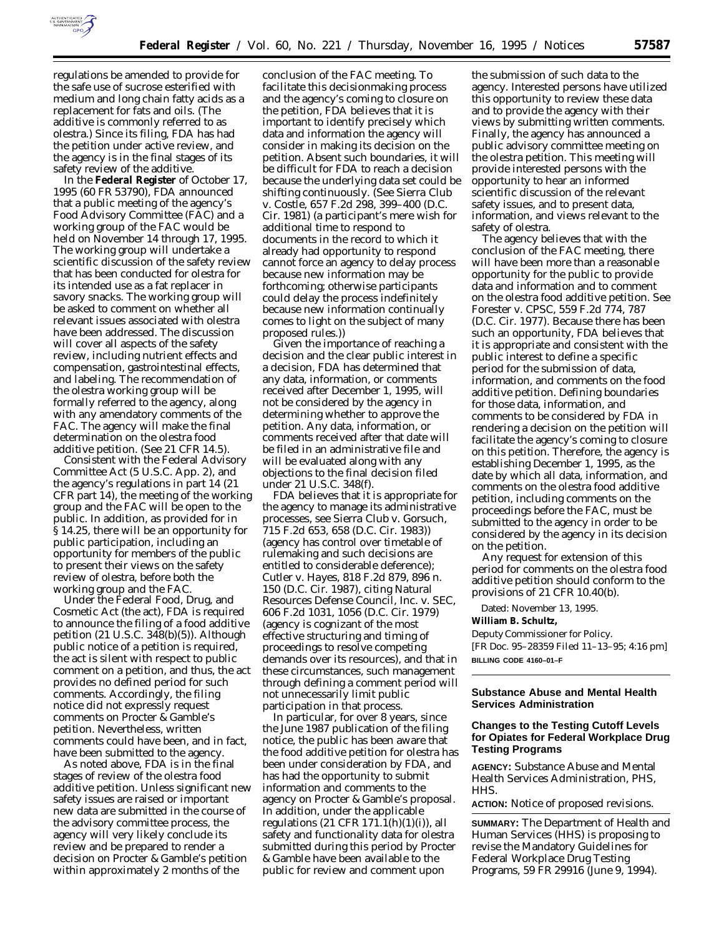

regulations be amended to provide for the safe use of sucrose esterified with medium and long chain fatty acids as a replacement for fats and oils. (The additive is commonly referred to as olestra.) Since its filing, FDA has had the petition under active review, and the agency is in the final stages of its safety review of the additive.

In the **Federal Register** of October 17, 1995 (60 FR 53790), FDA announced that a public meeting of the agency's Food Advisory Committee (FAC) and a working group of the FAC would be held on November 14 through 17, 1995. The working group will undertake a scientific discussion of the safety review that has been conducted for olestra for its intended use as a fat replacer in savory snacks. The working group will be asked to comment on whether all relevant issues associated with olestra have been addressed. The discussion will cover all aspects of the safety review, including nutrient effects and compensation, gastrointestinal effects, and labeling. The recommendation of the olestra working group will be formally referred to the agency, along with any amendatory comments of the FAC. The agency will make the final determination on the olestra food additive petition. (See 21 CFR 14.5).

Consistent with the Federal Advisory Committee Act (5 U.S.C. App. 2), and the agency's regulations in part 14 (21 CFR part 14), the meeting of the working group and the FAC will be open to the public. In addition, as provided for in § 14.25, there will be an opportunity for public participation, including an opportunity for members of the public to present their views on the safety review of olestra, before both the working group and the FAC.

Under the Federal Food, Drug, and Cosmetic Act (the act), FDA is required to announce the filing of a food additive petition (21 U.S.C. 348(b)(5)). Although public notice of a petition is required, the act is silent with respect to public comment on a petition, and thus, the act provides no defined period for such comments. Accordingly, the filing notice did not expressly request comments on Procter & Gamble's petition. Nevertheless, written comments could have been, and in fact, have been submitted to the agency.

As noted above, FDA is in the final stages of review of the olestra food additive petition. Unless significant new safety issues are raised or important new data are submitted in the course of the advisory committee process, the agency will very likely conclude its review and be prepared to render a decision on Procter & Gamble's petition within approximately 2 months of the

conclusion of the FAC meeting. To facilitate this decisionmaking process and the agency's coming to closure on the petition, FDA believes that it is important to identify precisely which data and information the agency will consider in making its decision on the petition. Absent such boundaries, it will be difficult for FDA to reach a decision because the underlying data set could be shifting continuously. (See *Sierra Club* v. *Costle*, 657 F.2d 298, 399–400 (D.C. Cir. 1981) (a participant's mere wish for additional time to respond to documents in the record to which it already had opportunity to respond cannot force an agency to delay process because new information may be forthcoming; otherwise participants could delay the process indefinitely because new information continually comes to light on the subject of many proposed rules.))

Given the importance of reaching a decision and the clear public interest in a decision, FDA has determined that any data, information, or comments received after December 1, 1995, will not be considered by the agency in determining whether to approve the petition. Any data, information, or comments received after that date will be filed in an administrative file and will be evaluated along with any objections to the final decision filed under 21 U.S.C. 348(f).

FDA believes that it is appropriate for the agency to manage its administrative processes, see *Sierra Club* v. *Gorsuch*, 715 F.2d 653, 658 (D.C. Cir. 1983)) (agency has control over timetable of rulemaking and such decisions are entitled to considerable deference); *Cutler* v. *Hayes*, 818 F.2d 879, 896 n. 150 (D.C. Cir. 1987), citing *Natural Resources Defense Council, Inc.* v. *SEC*, 606 F.2d 1031, 1056 (D.C. Cir. 1979) (agency is cognizant of the most effective structuring and timing of proceedings to resolve competing demands over its resources), and that in these circumstances, such management through defining a comment period will not unnecessarily limit public participation in that process.

In particular, for over 8 years, since the June 1987 publication of the filing notice, the public has been aware that the food additive petition for olestra has been under consideration by FDA, and has had the opportunity to submit information and comments to the agency on Procter & Gamble's proposal. In addition, under the applicable regulations  $(21 \text{ CFR } 171.1(h)(1)(i))$ , all safety and functionality data for olestra submitted during this period by Procter & Gamble have been available to the public for review and comment upon

the submission of such data to the agency. Interested persons have utilized this opportunity to review these data and to provide the agency with their views by submitting written comments. Finally, the agency has announced a public advisory committee meeting on the olestra petition. This meeting will provide interested persons with the opportunity to hear an informed scientific discussion of the relevant safety issues, and to present data, information, and views relevant to the safety of olestra.

The agency believes that with the conclusion of the FAC meeting, there will have been more than a reasonable opportunity for the public to provide data and information and to comment on the olestra food additive petition. See *Forester* v. *CPSC*, 559 F.2d 774, 787 (D.C. Cir. 1977). Because there has been such an opportunity, FDA believes that it is appropriate and consistent with the public interest to define a specific period for the submission of data, information, and comments on the food additive petition. Defining boundaries for those data, information, and comments to be considered by FDA in rendering a decision on the petition will facilitate the agency's coming to closure on this petition. Therefore, the agency is establishing December 1, 1995, as the date by which all data, information, and comments on the olestra food additive petition, including comments on the proceedings before the FAC, must be submitted to the agency in order to be considered by the agency in its decision on the petition.

Any request for extension of this period for comments on the olestra food additive petition should conform to the provisions of 21 CFR 10.40(b).

Dated: November 13, 1995.

**William B. Schultz,**

*Deputy Commissioner for Policy.* [FR Doc. 95–28359 Filed 11–13–95; 4:16 pm] **BILLING CODE 4160–01–F**

### **Substance Abuse and Mental Health Services Administration**

# **Changes to the Testing Cutoff Levels for Opiates for Federal Workplace Drug Testing Programs**

**AGENCY:** Substance Abuse and Mental Health Services Administration, PHS, HHS.

**ACTION:** Notice of proposed revisions.

**SUMMARY:** The Department of Health and Human Services (HHS) is proposing to revise the Mandatory Guidelines for Federal Workplace Drug Testing Programs, 59 FR 29916 (June 9, 1994).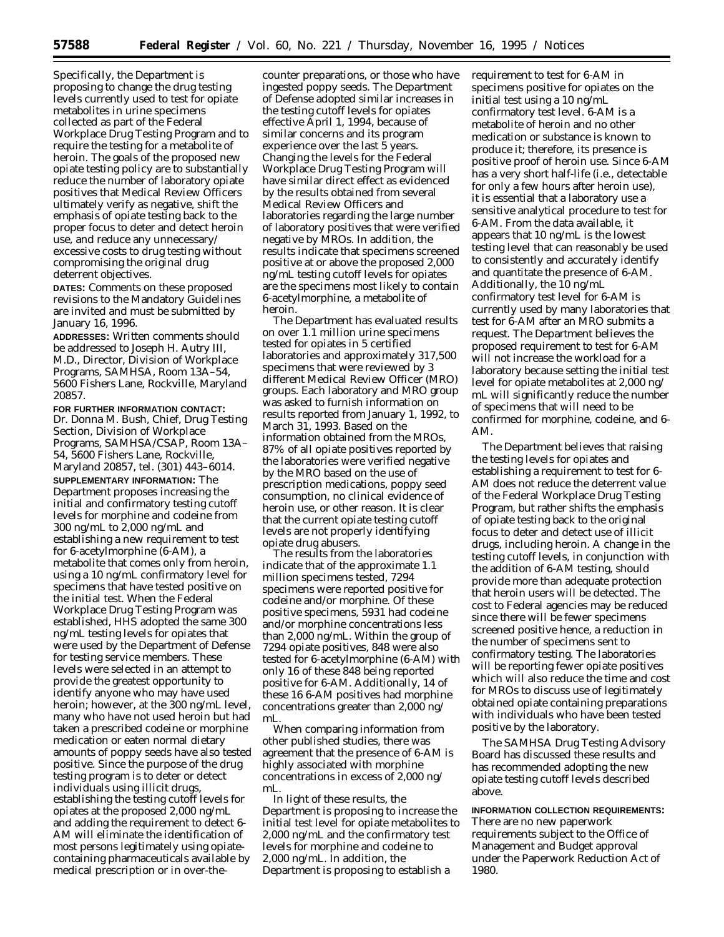Specifically, the Department is proposing to change the drug testing levels currently used to test for opiate metabolites in urine specimens collected as part of the Federal Workplace Drug Testing Program and to require the testing for a metabolite of heroin. The goals of the proposed new opiate testing policy are to substantially reduce the number of laboratory opiate positives that Medical Review Officers ultimately verify as negative, shift the emphasis of opiate testing back to the proper focus to deter and detect heroin use, and reduce any unnecessary/ excessive costs to drug testing without compromising the original drug deterrent objectives.

**DATES:** Comments on these proposed revisions to the Mandatory Guidelines are invited and must be submitted by January 16, 1996.

**ADDRESSES:** Written comments should be addressed to Joseph H. Autry III, M.D., Director, Division of Workplace Programs, SAMHSA, Room 13A–54, 5600 Fishers Lane, Rockville, Maryland 20857.

**FOR FURTHER INFORMATION CONTACT:** Dr. Donna M. Bush, Chief, Drug Testing Section, Division of Workplace Programs, SAMHSA/CSAP, Room 13A– 54, 5600 Fishers Lane, Rockville, Maryland 20857, tel. (301) 443–6014. **SUPPLEMENTARY INFORMATION:** The Department proposes increasing the initial and confirmatory testing cutoff levels for morphine and codeine from 300 ng/mL to 2,000 ng/mL and establishing a new requirement to test for 6-acetylmorphine (6-AM), a metabolite that comes only from heroin, using a 10 ng/mL confirmatory level for specimens that have tested positive on the initial test. When the Federal Workplace Drug Testing Program was established, HHS adopted the same 300 ng/mL testing levels for opiates that were used by the Department of Defense for testing service members. These levels were selected in an attempt to provide the greatest opportunity to identify anyone who may have used heroin; however, at the 300 ng/mL level, many who have not used heroin but had taken a prescribed codeine or morphine medication or eaten normal dietary amounts of poppy seeds have also tested positive. Since the purpose of the drug testing program is to deter or detect individuals using illicit drugs, establishing the testing cutoff levels for opiates at the proposed 2,000 ng/mL and adding the requirement to detect 6- AM will eliminate the identification of most persons legitimately using opiatecontaining pharmaceuticals available by medical prescription or in over-the-

counter preparations, or those who have ingested poppy seeds. The Department of Defense adopted similar increases in the testing cutoff levels for opiates effective April 1, 1994, because of similar concerns and its program experience over the last 5 years. Changing the levels for the Federal Workplace Drug Testing Program will have similar direct effect as evidenced by the results obtained from several Medical Review Officers and laboratories regarding the large number of laboratory positives that were verified negative by MROs. In addition, the results indicate that specimens screened positive at or above the proposed 2,000 ng/mL testing cutoff levels for opiates are the specimens most likely to contain 6-acetylmorphine, a metabolite of heroin.

The Department has evaluated results on over 1.1 million urine specimens tested for opiates in 5 certified laboratories and approximately 317,500 specimens that were reviewed by 3 different Medical Review Officer (MRO) groups. Each laboratory and MRO group was asked to furnish information on results reported from January 1, 1992, to March 31, 1993. Based on the information obtained from the MROs, 87% of all opiate positives reported by the laboratories were verified negative by the MRO based on the use of prescription medications, poppy seed consumption, no clinical evidence of heroin use, or other reason. It is clear that the current opiate testing cutoff levels are not properly identifying opiate drug abusers.

The results from the laboratories indicate that of the approximate 1.1 million specimens tested, 7294 specimens were reported positive for codeine and/or morphine. Of these positive specimens, 5931 had codeine and/or morphine concentrations less than 2,000 ng/mL. Within the group of 7294 opiate positives, 848 were also tested for 6-acetylmorphine (6-AM) with only 16 of these 848 being reported positive for 6-AM. Additionally, 14 of these 16 6-AM positives had morphine concentrations greater than 2,000 ng/ mL.

When comparing information from other published studies, there was agreement that the presence of 6-AM is highly associated with morphine concentrations in excess of 2,000 ng/ mL.

In light of these results, the Department is proposing to increase the initial test level for opiate metabolites to 2,000 ng/mL and the confirmatory test levels for morphine and codeine to 2,000 ng/mL. In addition, the Department is proposing to establish a

requirement to test for 6-AM in specimens positive for opiates on the initial test using a 10 ng/mL confirmatory test level. 6-AM is a metabolite of heroin and no other medication or substance is known to produce it; therefore, its presence is positive proof of heroin use. Since 6-AM has a very short half-life (i.e., detectable for only a few hours after heroin use), it is essential that a laboratory use a sensitive analytical procedure to test for 6-AM. From the data available, it appears that 10 ng/mL is the lowest testing level that can reasonably be used to consistently and accurately identify and quantitate the presence of 6-AM. Additionally, the 10 ng/mL confirmatory test level for 6-AM is currently used by many laboratories that test for 6-AM after an MRO submits a request. The Department believes the proposed requirement to test for 6-AM will not increase the workload for a laboratory because setting the initial test level for opiate metabolites at 2,000 ng/ mL will significantly reduce the number of specimens that will need to be confirmed for morphine, codeine, and 6- AM.

The Department believes that raising the testing levels for opiates and establishing a requirement to test for 6- AM does not reduce the deterrent value of the Federal Workplace Drug Testing Program, but rather shifts the emphasis of opiate testing back to the original focus to deter and detect use of illicit drugs, including heroin. A change in the testing cutoff levels, in conjunction with the addition of 6-AM testing, should provide more than adequate protection that heroin users will be detected. The cost to Federal agencies may be reduced since there will be fewer specimens screened positive hence, a reduction in the number of specimens sent to confirmatory testing. The laboratories will be reporting fewer opiate positives which will also reduce the time and cost for MROs to discuss use of legitimately obtained opiate containing preparations with individuals who have been tested positive by the laboratory.

The SAMHSA Drug Testing Advisory Board has discussed these results and has recommended adopting the new opiate testing cutoff levels described above.

**INFORMATION COLLECTION REQUIREMENTS:** There are no new paperwork requirements subject to the Office of Management and Budget approval under the Paperwork Reduction Act of 1980.